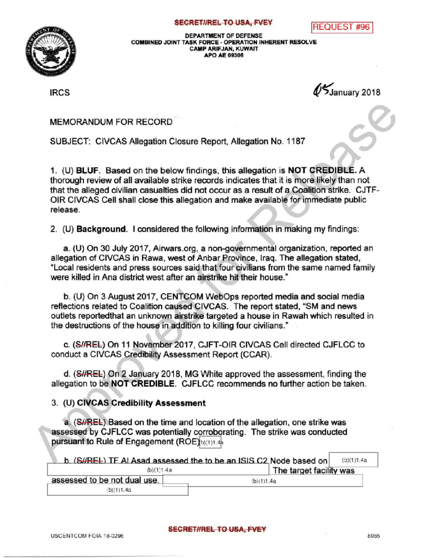## **SECRET//REL TO USA, FVEY REQUEST # 96**



DEPARTMENT OF DEFENSE COMBINED JOINT TASK FORCE- OPERATIONINHERENT RESOLVE CAMPARIFJAN, KUWAIT APO AE 09306

IRCS **IRCS** 1899  $\sqrt{5}$ January 2018

MEMORANDUM FOR RECORD

SUBJECT: CIVCAS Allegation Closure Report, Allegation No. 1187

1. (U) BLUF. Based on the below findings, this allegation is NOT CREDIBLE. A thorough review of all available strike records indicates that it is more likely than not that the alleged civilian casualties did not occur as a result of a Coalition strike. CJTF-OIR CIVCAS Cell shall close this allegation and make available for immediate public release.

2. (U) Background. I considered the following information in making my findings:

a. (U) On 30 July 2017, Airwars.org, a non-governmental organization, reported an allegation of CIVCAS in Rawa, west of Anbar Province, Iraq. The allegation stated, "Local residents and press sources said that four civilians from the same named family were killed in Ana district west after an airstrike hit their house."

b. (U) On 3 August 2017, CENTCOM WebOps reported media and social media reflections related to Coalition caused CIVCAS. The report stated, "SM and news outlets reportedthat an unknown airstrike targeted a house in Rawah which resulted in the destructions of the house in addition to killing four civilians."

c. (S//REL) On 11 November 2017, CJFT-OIR CIVCAS Cell directed CJFLCC to conduct a CIVCAS Credibility Assessment Report (CCAR).

d. (SHREL) On 2 January 2018, MG White approved the assessment, finding the allegation to be **NOT CREDIBLE**. CJFLCC recommends no further action be taken.

## 3. (U) CIVCAS Credibility Assessment

a. (SHREL) Based on the time and location of the allegation, one strike was assessed by CJFLCC was potentially corroborating. The strike was conducted pursuant to Rule of Engagement  $(ROE)_{b)(1)1.4h}$ 

| b. (S#REL) TF Al Asad assessed the to be an ISIS C2 Node based on |                         |  |  |  |
|-------------------------------------------------------------------|-------------------------|--|--|--|
| (b)(1)1.4a                                                        | The target facility was |  |  |  |
| assessed to be not dual use.                                      | (b)(1)1.4a              |  |  |  |
| (b)(1)1.4a                                                        |                         |  |  |  |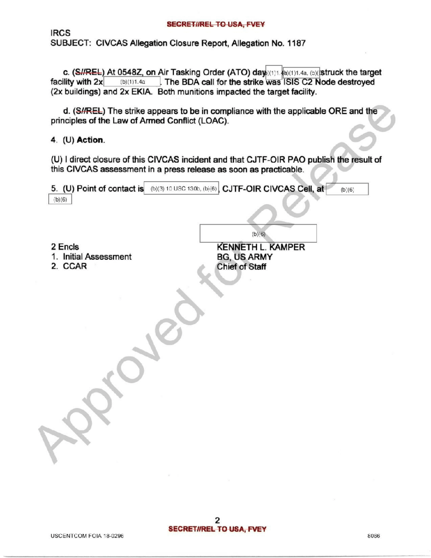## SECRET//REL TO USA, FVEY

IRCS SUBJECT: CIVCAS Allegation Closure Report, Allegation No. 1187

**c.** (SHREL) At 0548Z, on Air Tasking Order (ATO) day  $(1)1.4a$ ,  $(5)$  (struck the target facility with  $2x$  (b)(1)1.4a The BDA call for the strike was ISIS C2 Node destroyed . The BDA call for the strike was ISIS C2 Node destroyed (2x buildings) and 2x EKIA. Both munitions impacted the target facility.

d. (S//REL) The strike appears to be in compliance with the applicable ORE and the principles of the Law of Armed Conflict (LOAC).

4.  $(U)$  Action.

(U) I direct closure of this CIVCAS incident and that CJTF-OIR PAO publish the result of this CIVCAS assessment in a press release as soon as practicable.

| (b)(6)                           | 5. (U) Point of contact is (b)(3) 10 USC 130b, (b)(6) CJTF-OIR CIVCAS Cell, at<br>(b)(6) |
|----------------------------------|------------------------------------------------------------------------------------------|
|                                  |                                                                                          |
|                                  | (b)(6)                                                                                   |
| 2 Encls<br>1. Initial Assessment | <b>KENNETH L. KAMPER</b><br><b>BG, US ARMY</b>                                           |
| 2. CCAR                          | <b>Chief of Staff</b>                                                                    |
|                                  |                                                                                          |
|                                  |                                                                                          |
|                                  |                                                                                          |
|                                  |                                                                                          |
|                                  |                                                                                          |
|                                  |                                                                                          |